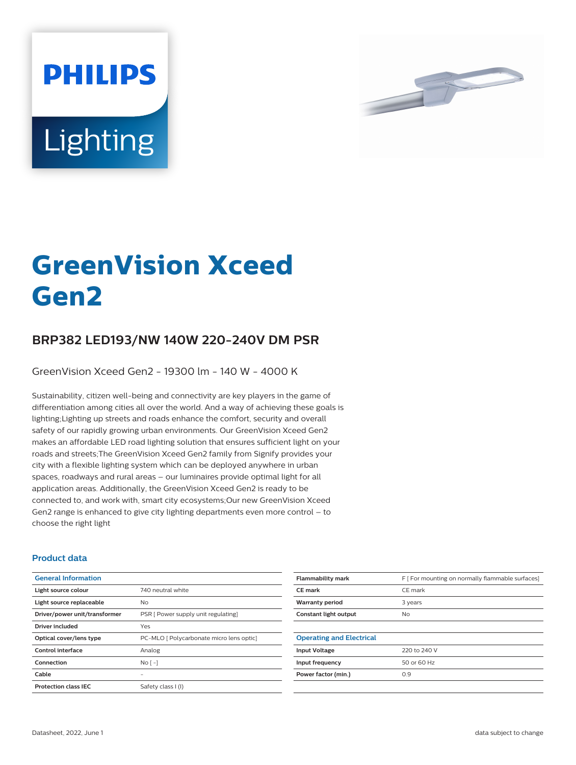



# **GreenVision Xceed Gen2**

## **BRP382 LED193/NW 140W 220-240V DM PSR**

GreenVision Xceed Gen2 - 19300 lm - 140 W - 4000 K

Sustainability, citizen well-being and connectivity are key players in the game of differentiation among cities all over the world. And a way of achieving these goals is lighting;Lighting up streets and roads enhance the comfort, security and overall safety of our rapidly growing urban environments. Our GreenVision Xceed Gen2 makes an affordable LED road lighting solution that ensures sufficient light on your roads and streets;The GreenVision Xceed Gen2 family from Signify provides your city with a flexible lighting system which can be deployed anywhere in urban spaces, roadways and rural areas – our luminaires provide optimal light for all application areas. Additionally, the GreenVision Xceed Gen2 is ready to be connected to, and work with, smart city ecosystems;Our new GreenVision Xceed Gen2 range is enhanced to give city lighting departments even more control – to choose the right light

#### **Product data**

| <b>General Information</b>    |                                          |
|-------------------------------|------------------------------------------|
| Light source colour           | 740 neutral white                        |
| Light source replaceable      | No                                       |
| Driver/power unit/transformer | PSR [ Power supply unit regulating]      |
| <b>Driver included</b>        | Yes                                      |
| Optical cover/lens type       | PC-MLO [ Polycarbonate micro lens optic] |
| Control interface             | Analog                                   |
| Connection                    | $No$ [ -1                                |
| Cable                         |                                          |
| <b>Protection class IEC</b>   | Safety class I (I)                       |

| <b>Flammability mark</b>        | F [ For mounting on normally flammable surfaces] |
|---------------------------------|--------------------------------------------------|
| <b>CE</b> mark                  | CE mark                                          |
| <b>Warranty period</b>          | 3 years                                          |
| Constant light output           | No.                                              |
|                                 |                                                  |
| <b>Operating and Electrical</b> |                                                  |
| <b>Input Voltage</b>            | 220 to 240 V                                     |
| Input frequency                 | 50 or 60 Hz                                      |
| Power factor (min.)             | 0.9                                              |
|                                 |                                                  |